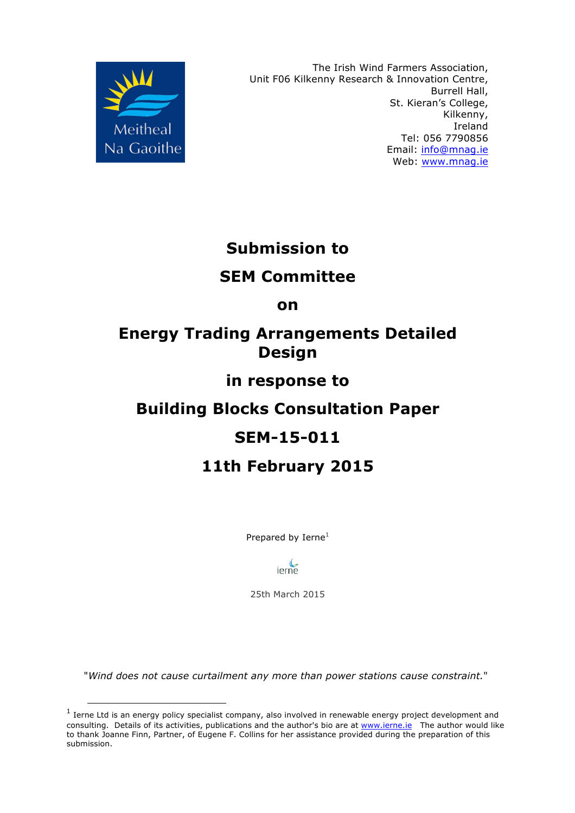

The Irish Wind Farmers Association, Unit F06 Kilkenny Research & Innovation Centre, Burrell Hall, St. Kieran's College, Kilkenny, Ireland Tel: 056 7790856 Email: info@mnag.ie Web: www.mnag.ie

# **Submission to**

### **SEM Committee**

**on**

### **Energy Trading Arrangements Detailed Design**

### **in response to**

# **Building Blocks Consultation Paper**

# **SEM-15-011**

# **11th February 2015**

Prepared by Ierne<sup>1</sup>



25th March 2015

"*Wind does not cause curtailment any more than power stations cause constraint.*"

 $1$  Ierne Ltd is an energy policy specialist company, also involved in renewable energy project development and consulting. Details of its activities, publications and the author's bio are at www.ierne.ie The author would like to thank Joanne Finn, Partner, of Eugene F. Collins for her assistance provided during the preparation of this submission.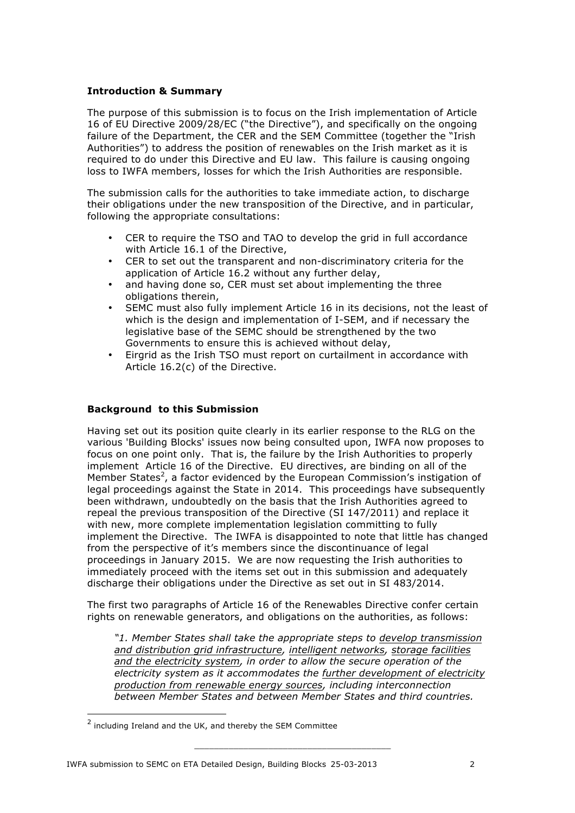#### **Introduction & Summary**

The purpose of this submission is to focus on the Irish implementation of Article 16 of EU Directive 2009/28/EC ("the Directive"), and specifically on the ongoing failure of the Department, the CER and the SEM Committee (together the "Irish Authorities") to address the position of renewables on the Irish market as it is required to do under this Directive and EU law. This failure is causing ongoing loss to IWFA members, losses for which the Irish Authorities are responsible.

The submission calls for the authorities to take immediate action, to discharge their obligations under the new transposition of the Directive, and in particular, following the appropriate consultations:

- CER to require the TSO and TAO to develop the grid in full accordance with Article 16.1 of the Directive,
- CER to set out the transparent and non-discriminatory criteria for the application of Article 16.2 without any further delay,
- and having done so, CER must set about implementing the three obligations therein,
- SEMC must also fully implement Article 16 in its decisions, not the least of which is the design and implementation of I-SEM, and if necessary the legislative base of the SEMC should be strengthened by the two Governments to ensure this is achieved without delay,
- Eirgrid as the Irish TSO must report on curtailment in accordance with Article 16.2(c) of the Directive.

#### **Background to this Submission**

Having set out its position quite clearly in its earlier response to the RLG on the various 'Building Blocks' issues now being consulted upon, IWFA now proposes to focus on one point only. That is, the failure by the Irish Authorities to properly implement Article 16 of the Directive. EU directives, are binding on all of the Member States<sup>2</sup>, a factor evidenced by the European Commission's instigation of legal proceedings against the State in 2014. This proceedings have subsequently been withdrawn, undoubtedly on the basis that the Irish Authorities agreed to repeal the previous transposition of the Directive (SI 147/2011) and replace it with new, more complete implementation legislation committing to fully implement the Directive. The IWFA is disappointed to note that little has changed from the perspective of it's members since the discontinuance of legal proceedings in January 2015. We are now requesting the Irish authorities to immediately proceed with the items set out in this submission and adequately discharge their obligations under the Directive as set out in SI 483/2014.

The first two paragraphs of Article 16 of the Renewables Directive confer certain rights on renewable generators, and obligations on the authorities, as follows:

*"1. Member States shall take the appropriate steps to develop transmission and distribution grid infrastructure, intelligent networks, storage facilities and the electricity system, in order to allow the secure operation of the electricity system as it accommodates the further development of electricity production from renewable energy sources, including interconnection between Member States and between Member States and third countries.* 

 <sup>2</sup> including Ireland and the UK, and thereby the SEM Committee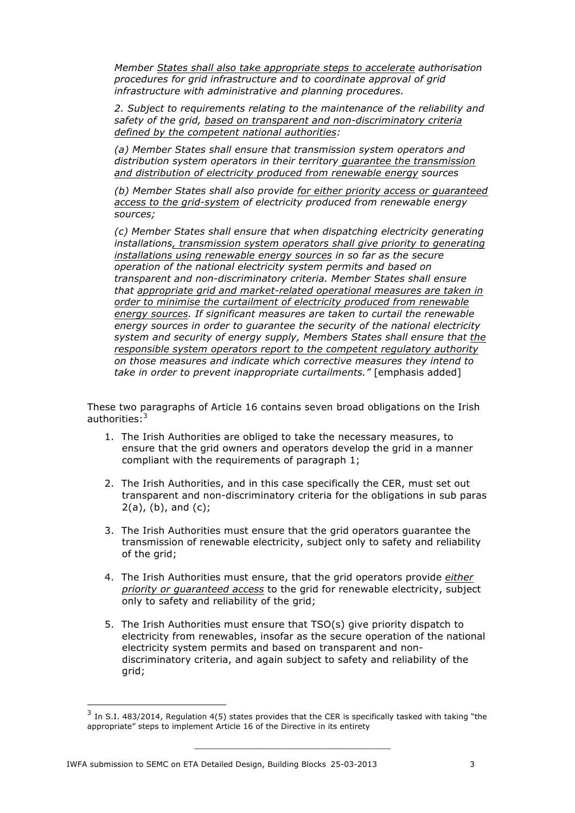*Member States shall also take appropriate steps to accelerate authorisation procedures for grid infrastructure and to coordinate approval of grid infrastructure with administrative and planning procedures.*

*2. Subject to requirements relating to the maintenance of the reliability and safety of the grid, based on transparent and non-discriminatory criteria defined by the competent national authorities:*

*(a) Member States shall ensure that transmission system operators and distribution system operators in their territory guarantee the transmission and distribution of electricity produced from renewable energy sources*

*(b) Member States shall also provide for either priority access or guaranteed access to the grid-system of electricity produced from renewable energy sources;*

*(c) Member States shall ensure that when dispatching electricity generating installations, transmission system operators shall give priority to generating installations using renewable energy sources in so far as the secure operation of the national electricity system permits and based on transparent and non-discriminatory criteria. Member States shall ensure that appropriate grid and market-related operational measures are taken in order to minimise the curtailment of electricity produced from renewable energy sources. If significant measures are taken to curtail the renewable energy sources in order to guarantee the security of the national electricity system and security of energy supply, Members States shall ensure that the responsible system operators report to the competent regulatory authority on those measures and indicate which corrective measures they intend to take in order to prevent inappropriate curtailments."* [emphasis added]

These two paragraphs of Article 16 contains seven broad obligations on the Irish authorities: $3$ 

- 1. The Irish Authorities are obliged to take the necessary measures, to ensure that the grid owners and operators develop the grid in a manner compliant with the requirements of paragraph 1;
- 2. The Irish Authorities, and in this case specifically the CER, must set out transparent and non-discriminatory criteria for the obligations in sub paras  $2(a)$ ,  $(b)$ , and  $(c)$ ;
- 3. The Irish Authorities must ensure that the grid operators guarantee the transmission of renewable electricity, subject only to safety and reliability of the grid;
- 4. The Irish Authorities must ensure, that the grid operators provide *either priority or guaranteed access* to the grid for renewable electricity, subject only to safety and reliability of the grid;
- 5. The Irish Authorities must ensure that TSO(s) give priority dispatch to electricity from renewables, insofar as the secure operation of the national electricity system permits and based on transparent and nondiscriminatory criteria, and again subject to safety and reliability of the grid;

 $3$  In S.I. 483/2014, Regulation 4(5) states provides that the CER is specifically tasked with taking "the appropriate" steps to implement Article 16 of the Directive in its entirety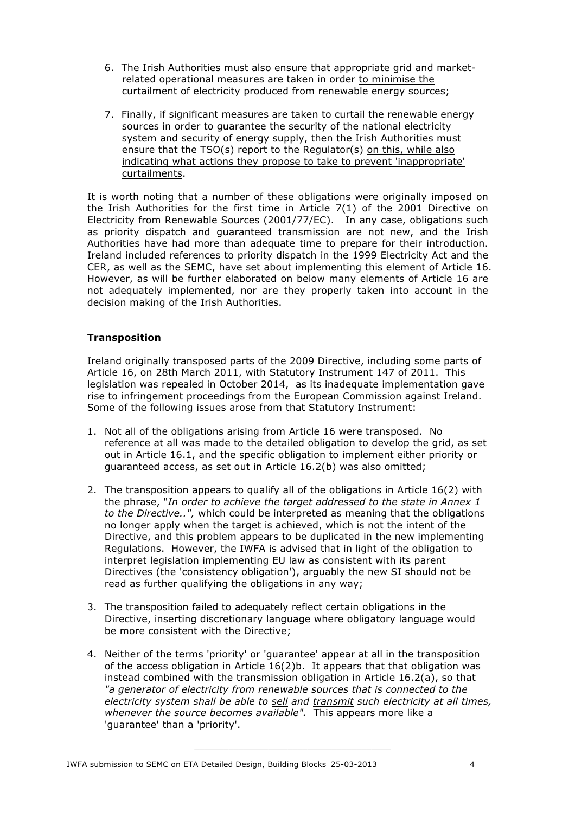- 6. The Irish Authorities must also ensure that appropriate grid and marketrelated operational measures are taken in order to minimise the curtailment of electricity produced from renewable energy sources;
- 7. Finally, if significant measures are taken to curtail the renewable energy sources in order to guarantee the security of the national electricity system and security of energy supply, then the Irish Authorities must ensure that the TSO(s) report to the Regulator(s) on this, while also indicating what actions they propose to take to prevent 'inappropriate' curtailments.

It is worth noting that a number of these obligations were originally imposed on the Irish Authorities for the first time in Article 7(1) of the 2001 Directive on Electricity from Renewable Sources (2001/77/EC). In any case, obligations such as priority dispatch and guaranteed transmission are not new, and the Irish Authorities have had more than adequate time to prepare for their introduction. Ireland included references to priority dispatch in the 1999 Electricity Act and the CER, as well as the SEMC, have set about implementing this element of Article 16. However, as will be further elaborated on below many elements of Article 16 are not adequately implemented, nor are they properly taken into account in the decision making of the Irish Authorities.

### **Transposition**

Ireland originally transposed parts of the 2009 Directive, including some parts of Article 16, on 28th March 2011, with Statutory Instrument 147 of 2011. This legislation was repealed in October 2014, as its inadequate implementation gave rise to infringement proceedings from the European Commission against Ireland. Some of the following issues arose from that Statutory Instrument:

- 1. Not all of the obligations arising from Article 16 were transposed. No reference at all was made to the detailed obligation to develop the grid, as set out in Article 16.1, and the specific obligation to implement either priority or guaranteed access, as set out in Article 16.2(b) was also omitted;
- 2. The transposition appears to qualify all of the obligations in Article 16(2) with the phrase, "*In order to achieve the target addressed to the state in Annex 1 to the Directive..",* which could be interpreted as meaning that the obligations no longer apply when the target is achieved, which is not the intent of the Directive, and this problem appears to be duplicated in the new implementing Regulations. However, the IWFA is advised that in light of the obligation to interpret legislation implementing EU law as consistent with its parent Directives (the 'consistency obligation'), arguably the new SI should not be read as further qualifying the obligations in any way;
- 3. The transposition failed to adequately reflect certain obligations in the Directive, inserting discretionary language where obligatory language would be more consistent with the Directive;
- 4. Neither of the terms 'priority' or 'guarantee' appear at all in the transposition of the access obligation in Article 16(2)b. It appears that that obligation was instead combined with the transmission obligation in Article 16.2(a), so that *"a generator of electricity from renewable sources that is connected to the electricity system shall be able to sell and transmit such electricity at all times, whenever the source becomes available".* This appears more like a 'guarantee' than a 'priority'.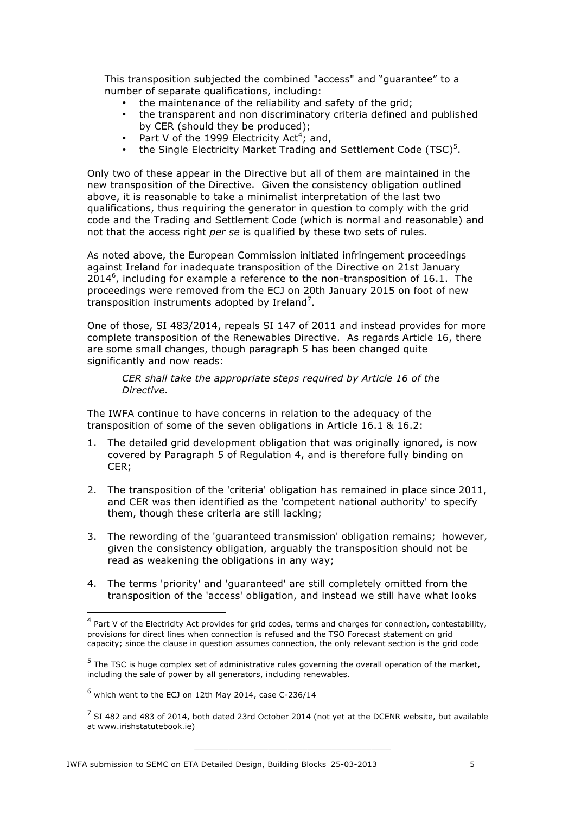This transposition subjected the combined "access" and "guarantee" to a number of separate qualifications, including:

- the maintenance of the reliability and safety of the grid:
- the transparent and non discriminatory criteria defined and published by CER (should they be produced);
- Part V of the 1999 Electricity Act<sup>4</sup>; and,
- the Single Electricity Market Trading and Settlement Code (TSC) $<sup>5</sup>$ .</sup>

Only two of these appear in the Directive but all of them are maintained in the new transposition of the Directive. Given the consistency obligation outlined above, it is reasonable to take a minimalist interpretation of the last two qualifications, thus requiring the generator in question to comply with the grid code and the Trading and Settlement Code (which is normal and reasonable) and not that the access right *per se* is qualified by these two sets of rules.

As noted above, the European Commission initiated infringement proceedings against Ireland for inadequate transposition of the Directive on 21st January  $2014^6$ , including for example a reference to the non-transposition of 16.1. The proceedings were removed from the ECJ on 20th January 2015 on foot of new transposition instruments adopted by Ireland<sup>7</sup>.

One of those, SI 483/2014, repeals SI 147 of 2011 and instead provides for more complete transposition of the Renewables Directive. As regards Article 16, there are some small changes, though paragraph 5 has been changed quite significantly and now reads:

*CER shall take the appropriate steps required by Article 16 of the Directive.*

The IWFA continue to have concerns in relation to the adequacy of the transposition of some of the seven obligations in Article 16.1 & 16.2:

- 1. The detailed grid development obligation that was originally ignored, is now covered by Paragraph 5 of Regulation 4, and is therefore fully binding on CER;
- 2. The transposition of the 'criteria' obligation has remained in place since 2011, and CER was then identified as the 'competent national authority' to specify them, though these criteria are still lacking;
- 3. The rewording of the 'guaranteed transmission' obligation remains; however, given the consistency obligation, arguably the transposition should not be read as weakening the obligations in any way;
- 4. The terms 'priority' and 'guaranteed' are still completely omitted from the transposition of the 'access' obligation, and instead we still have what looks

<sup>&</sup>lt;sup>4</sup> Part V of the Electricity Act provides for grid codes, terms and charges for connection, contestability, provisions for direct lines when connection is refused and the TSO Forecast statement on grid capacity; since the clause in question assumes connection, the only relevant section is the grid code

 $<sup>5</sup>$  The TSC is huge complex set of administrative rules governing the overall operation of the market,</sup> including the sale of power by all generators, including renewables.

 $<sup>6</sup>$  which went to the ECJ on 12th May 2014, case C-236/14</sup>

 $<sup>7</sup>$  SI 482 and 483 of 2014, both dated 23rd October 2014 (not yet at the DCENR website, but available</sup> at www.irishstatutebook.ie)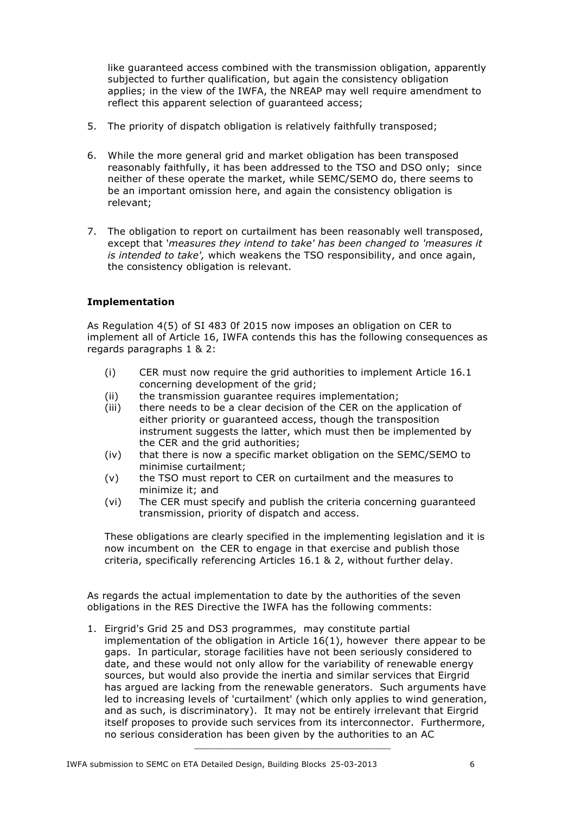like guaranteed access combined with the transmission obligation, apparently subjected to further qualification, but again the consistency obligation applies; in the view of the IWFA, the NREAP may well require amendment to reflect this apparent selection of guaranteed access;

- 5. The priority of dispatch obligation is relatively faithfully transposed;
- 6. While the more general grid and market obligation has been transposed reasonably faithfully, it has been addressed to the TSO and DSO only; since neither of these operate the market, while SEMC/SEMO do, there seems to be an important omission here, and again the consistency obligation is relevant;
- 7. The obligation to report on curtailment has been reasonably well transposed, except that '*measures they intend to take' has been changed to 'measures it is intended to take',* which weakens the TSO responsibility, and once again, the consistency obligation is relevant.

### **Implementation**

As Regulation 4(5) of SI 483 0f 2015 now imposes an obligation on CER to implement all of Article 16, IWFA contends this has the following consequences as regards paragraphs 1 & 2:

- (i) CER must now require the grid authorities to implement Article 16.1 concerning development of the grid;
- (ii) the transmission guarantee requires implementation;
- (iii) there needs to be a clear decision of the CER on the application of either priority or guaranteed access, though the transposition instrument suggests the latter, which must then be implemented by the CER and the grid authorities;
- (iv) that there is now a specific market obligation on the SEMC/SEMO to minimise curtailment;
- (v) the TSO must report to CER on curtailment and the measures to minimize it; and
- (vi) The CER must specify and publish the criteria concerning guaranteed transmission, priority of dispatch and access.

These obligations are clearly specified in the implementing legislation and it is now incumbent on the CER to engage in that exercise and publish those criteria, specifically referencing Articles 16.1 & 2, without further delay.

As regards the actual implementation to date by the authorities of the seven obligations in the RES Directive the IWFA has the following comments:

1. Eirgrid's Grid 25 and DS3 programmes, may constitute partial implementation of the obligation in Article 16(1), however there appear to be gaps. In particular, storage facilities have not been seriously considered to date, and these would not only allow for the variability of renewable energy sources, but would also provide the inertia and similar services that Eirgrid has argued are lacking from the renewable generators. Such arguments have led to increasing levels of 'curtailment' (which only applies to wind generation, and as such, is discriminatory). It may not be entirely irrelevant that Eirgrid itself proposes to provide such services from its interconnector. Furthermore, no serious consideration has been given by the authorities to an AC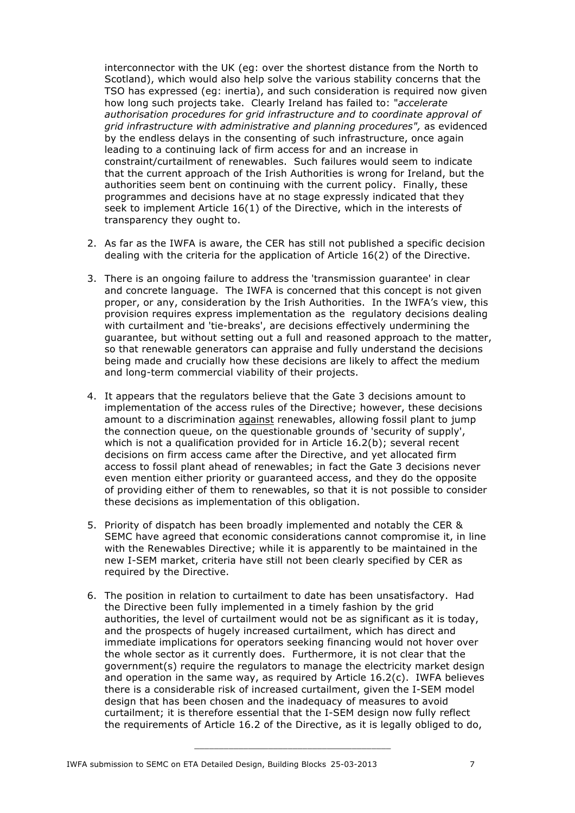interconnector with the UK (eg: over the shortest distance from the North to Scotland), which would also help solve the various stability concerns that the TSO has expressed (eg: inertia), and such consideration is required now given how long such projects take. Clearly Ireland has failed to: "*accelerate authorisation procedures for grid infrastructure and to coordinate approval of grid infrastructure with administrative and planning procedures",* as evidenced by the endless delays in the consenting of such infrastructure, once again leading to a continuing lack of firm access for and an increase in constraint/curtailment of renewables. Such failures would seem to indicate that the current approach of the Irish Authorities is wrong for Ireland, but the authorities seem bent on continuing with the current policy. Finally, these programmes and decisions have at no stage expressly indicated that they seek to implement Article 16(1) of the Directive, which in the interests of transparency they ought to.

- 2. As far as the IWFA is aware, the CER has still not published a specific decision dealing with the criteria for the application of Article 16(2) of the Directive.
- 3. There is an ongoing failure to address the 'transmission guarantee' in clear and concrete language. The IWFA is concerned that this concept is not given proper, or any, consideration by the Irish Authorities. In the IWFA's view, this provision requires express implementation as the regulatory decisions dealing with curtailment and 'tie-breaks', are decisions effectively undermining the guarantee, but without setting out a full and reasoned approach to the matter, so that renewable generators can appraise and fully understand the decisions being made and crucially how these decisions are likely to affect the medium and long-term commercial viability of their projects.
- 4. It appears that the regulators believe that the Gate 3 decisions amount to implementation of the access rules of the Directive; however, these decisions amount to a discrimination against renewables, allowing fossil plant to jump the connection queue, on the questionable grounds of 'security of supply', which is not a qualification provided for in Article 16.2(b); several recent decisions on firm access came after the Directive, and yet allocated firm access to fossil plant ahead of renewables; in fact the Gate 3 decisions never even mention either priority or guaranteed access, and they do the opposite of providing either of them to renewables, so that it is not possible to consider these decisions as implementation of this obligation.
- 5. Priority of dispatch has been broadly implemented and notably the CER & SEMC have agreed that economic considerations cannot compromise it, in line with the Renewables Directive; while it is apparently to be maintained in the new I-SEM market, criteria have still not been clearly specified by CER as required by the Directive.
- 6. The position in relation to curtailment to date has been unsatisfactory. Had the Directive been fully implemented in a timely fashion by the grid authorities, the level of curtailment would not be as significant as it is today, and the prospects of hugely increased curtailment, which has direct and immediate implications for operators seeking financing would not hover over the whole sector as it currently does. Furthermore, it is not clear that the government(s) require the regulators to manage the electricity market design and operation in the same way, as required by Article 16.2(c). IWFA believes there is a considerable risk of increased curtailment, given the I-SEM model design that has been chosen and the inadequacy of measures to avoid curtailment; it is therefore essential that the I-SEM design now fully reflect the requirements of Article 16.2 of the Directive, as it is legally obliged to do,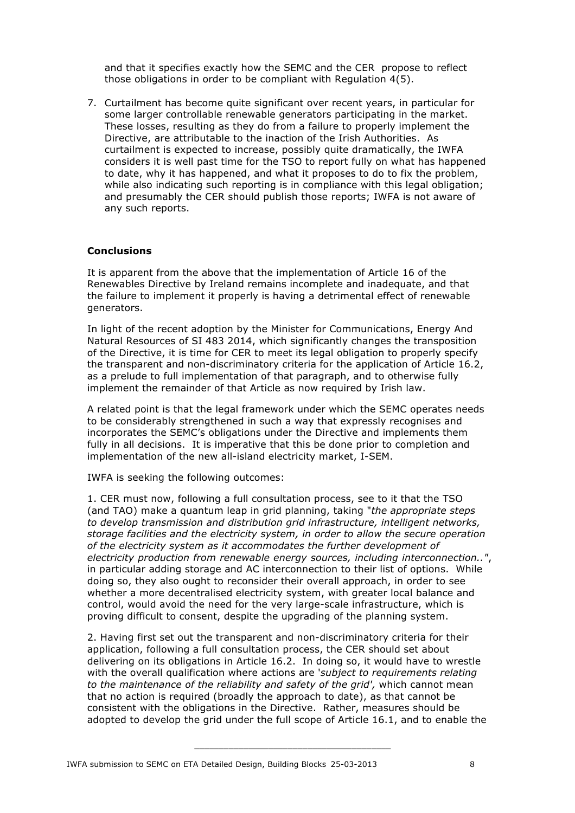and that it specifies exactly how the SEMC and the CER propose to reflect those obligations in order to be compliant with Regulation 4(5).

7. Curtailment has become quite significant over recent years, in particular for some larger controllable renewable generators participating in the market. These losses, resulting as they do from a failure to properly implement the Directive, are attributable to the inaction of the Irish Authorities. As curtailment is expected to increase, possibly quite dramatically, the IWFA considers it is well past time for the TSO to report fully on what has happened to date, why it has happened, and what it proposes to do to fix the problem, while also indicating such reporting is in compliance with this legal obligation; and presumably the CER should publish those reports; IWFA is not aware of any such reports.

#### **Conclusions**

It is apparent from the above that the implementation of Article 16 of the Renewables Directive by Ireland remains incomplete and inadequate, and that the failure to implement it properly is having a detrimental effect of renewable generators.

In light of the recent adoption by the Minister for Communications, Energy And Natural Resources of SI 483 2014, which significantly changes the transposition of the Directive, it is time for CER to meet its legal obligation to properly specify the transparent and non-discriminatory criteria for the application of Article 16.2, as a prelude to full implementation of that paragraph, and to otherwise fully implement the remainder of that Article as now required by Irish law.

A related point is that the legal framework under which the SEMC operates needs to be considerably strengthened in such a way that expressly recognises and incorporates the SEMC's obligations under the Directive and implements them fully in all decisions. It is imperative that this be done prior to completion and implementation of the new all-island electricity market, I-SEM.

IWFA is seeking the following outcomes:

1. CER must now, following a full consultation process, see to it that the TSO (and TAO) make a quantum leap in grid planning, taking "*the appropriate steps to develop transmission and distribution grid infrastructure, intelligent networks, storage facilities and the electricity system, in order to allow the secure operation of the electricity system as it accommodates the further development of electricity production from renewable energy sources, including interconnection.."*, in particular adding storage and AC interconnection to their list of options. While doing so, they also ought to reconsider their overall approach, in order to see whether a more decentralised electricity system, with greater local balance and control, would avoid the need for the very large-scale infrastructure, which is proving difficult to consent, despite the upgrading of the planning system.

2. Having first set out the transparent and non-discriminatory criteria for their application, following a full consultation process, the CER should set about delivering on its obligations in Article 16.2. In doing so, it would have to wrestle with the overall qualification where actions are '*subject to requirements relating*  to the maintenance of the reliability and safety of the grid', which cannot mean that no action is required (broadly the approach to date), as that cannot be consistent with the obligations in the Directive. Rather, measures should be adopted to develop the grid under the full scope of Article 16.1, and to enable the